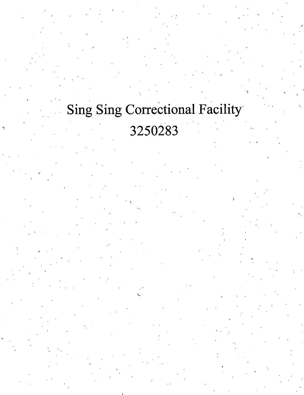## **Sing Sing Correctional Facility** 3250283